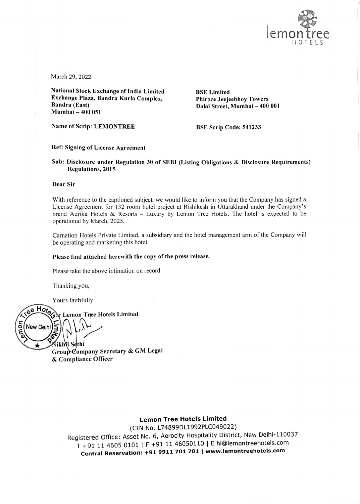

March 29, 2022

National Stock Exchange of India Limited Exchange Plaza, Bandra Kurla Complex, Bandra (East) Mumbai — 400 051

**BSE Limited** Phiroze Jeejeebhoy Towers Dalal Street, Mumbai — 400 001

Name of Scrip: LEMONTREE

BSE Scrip Code: 541233

Ref: Signing of License Agreement

Sub: Disclosure under Regulation 30 of SEBI (Listing Obligations & Disclosure Requirements) Regulations, 2015

#### Dear Sir

With reference to the captioned subject, we would like to inform you that the Company has signed a License Agreement for 132 room hotel project at Rishikesh in Uttarakhand under the Company's brand Aurika Hotels & Resorts — Luxury by Lemon Tree Hotels. The hotel is expected to be operational by March, 2025.

Carnation Hotels Private Limited, a subsidiary and the hotel management arm of the Company will be operating and marketing this hotel.

### Please find attached herewith the copy of the press release.

Please take the above intimation on record

Thanking you,

Yours faithfully

ee Hote Lemon Tree Hotels Limited č **New Delhi** ခ် ikh\l Sethi ÷

Group Company Secretary & GM Legal & Compliance Officer

## Lemon Tree Hotels Limited

(CIN No. L74899DL1992PLC049022) Registered Office: Asset No. 6, Aerocity Hospitality District, New Delhi-110037 <sup>T</sup>+91 11 4605 0101 | F +91 11 46050110 |E hi@lemontreehotels.com Central Reservation: +91 9911 701 701 | www.lemontreehotels.com